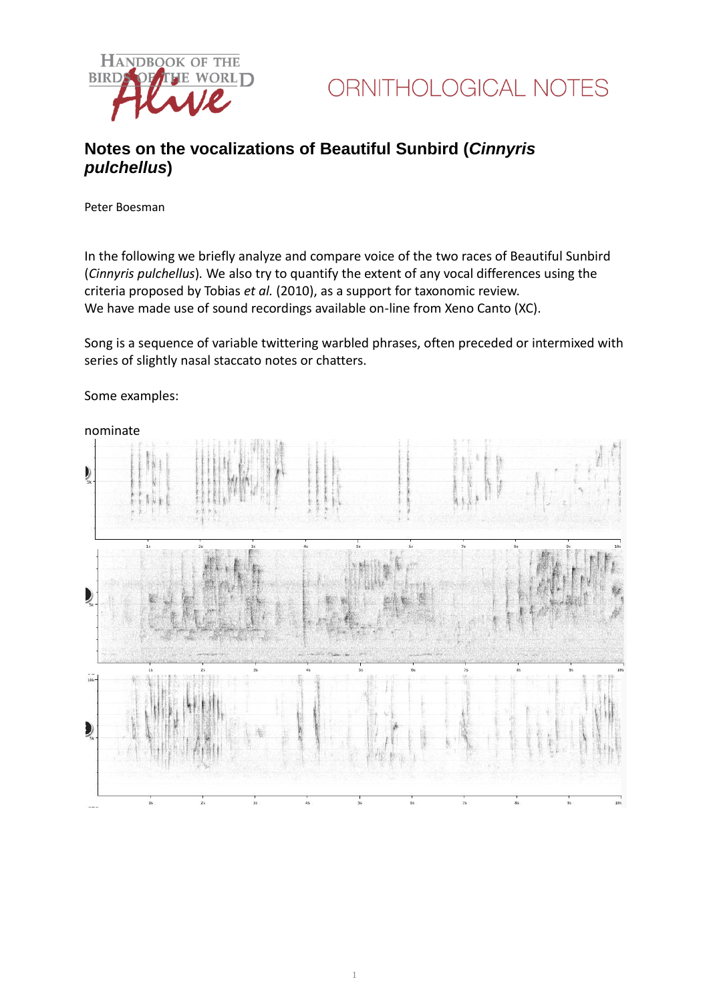

### **Notes on the vocalizations of Beautiful Sunbird (***Cinnyris pulchellus***)**

Peter Boesman

In the following we briefly analyze and compare voice of the two races of Beautiful Sunbird (*Cinnyris pulchellus*)*.* We also try to quantify the extent of any vocal differences using the criteria proposed by Tobias *et al.* (2010), as a support for taxonomic review. We have made use of sound recordings available on-line from Xeno Canto (XC).

Song is a sequence of variable twittering warbled phrases, often preceded or intermixed with series of slightly nasal staccato notes or chatters.



Some examples:

nominate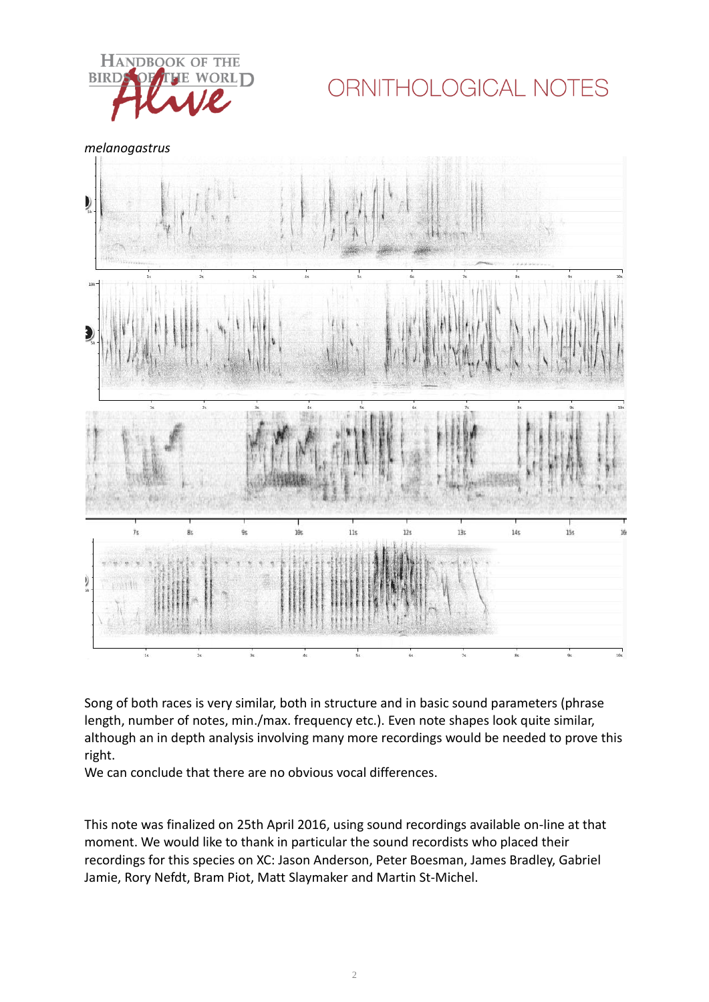

# ORNITHOLOGICAL NOTES

*melanogastrus*



Song of both races is very similar, both in structure and in basic sound parameters (phrase length, number of notes, min./max. frequency etc.). Even note shapes look quite similar, although an in depth analysis involving many more recordings would be needed to prove this right.

We can conclude that there are no obvious vocal differences.

This note was finalized on 25th April 2016, using sound recordings available on-line at that moment. We would like to thank in particular the sound recordists who placed their recordings for this species on XC: Jason Anderson, Peter Boesman, James Bradley, Gabriel Jamie, Rory Nefdt, Bram Piot, Matt Slaymaker and Martin St-Michel.